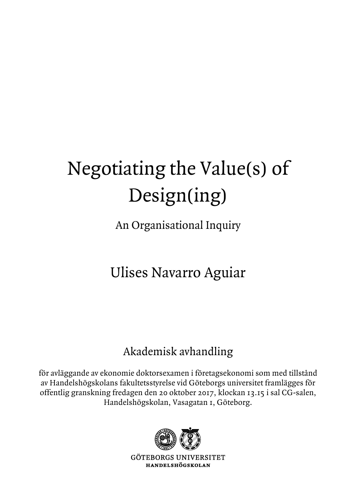## Negotiating the Value(s) of Design(ing)

An Organisational Inquiry

## Ulises Navarro Aguiar

## Akademisk avhandling

för avläggande av ekonomie doktorsexamen i företagsekonomi som med tillstånd av Handelshögskolans fakultetsstyrelse vid Göteborgs universitet framlägges för offentlig granskning fredagen den 20 oktober 2017, klockan 13.15 i sal CG-salen, Handelshögskolan, Vasagatan 1, Göteborg.